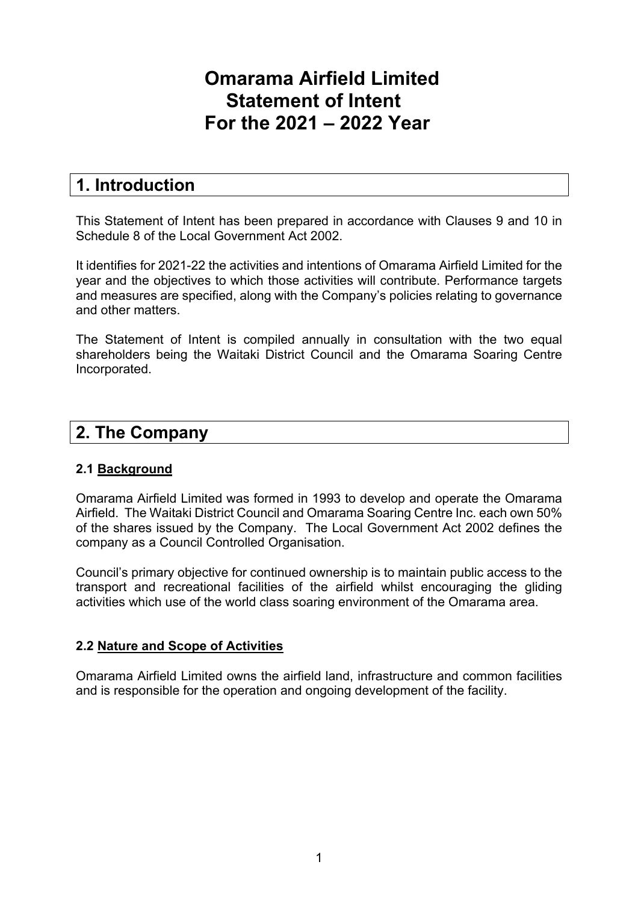# **Omarama Airfield Limited Statement of Intent For the 2021 – 2022 Year**

# **1. Introduction**

This Statement of Intent has been prepared in accordance with Clauses 9 and 10 in Schedule 8 of the Local Government Act 2002.

It identifies for 2021-22 the activities and intentions of Omarama Airfield Limited for the year and the objectives to which those activities will contribute. Performance targets and measures are specified, along with the Company's policies relating to governance and other matters.

The Statement of Intent is compiled annually in consultation with the two equal shareholders being the Waitaki District Council and the Omarama Soaring Centre Incorporated.

# **2. The Company**

## **2.1 Background**

Omarama Airfield Limited was formed in 1993 to develop and operate the Omarama Airfield. The Waitaki District Council and Omarama Soaring Centre Inc. each own 50% of the shares issued by the Company. The Local Government Act 2002 defines the company as a Council Controlled Organisation.

Council's primary objective for continued ownership is to maintain public access to the transport and recreational facilities of the airfield whilst encouraging the gliding activities which use of the world class soaring environment of the Omarama area.

## **2.2 Nature and Scope of Activities**

Omarama Airfield Limited owns the airfield land, infrastructure and common facilities and is responsible for the operation and ongoing development of the facility.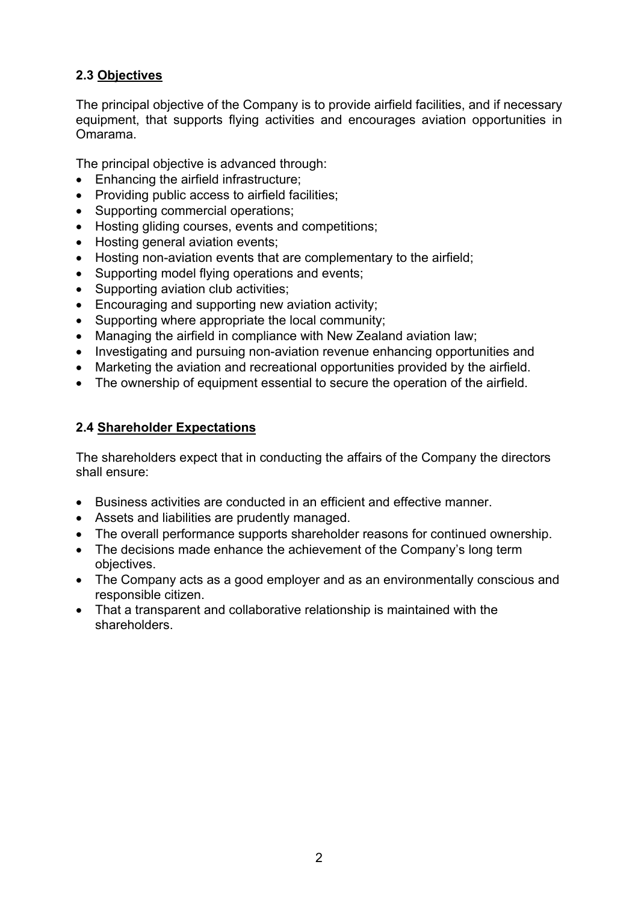# **2.3 Objectives**

The principal objective of the Company is to provide airfield facilities, and if necessary equipment, that supports flying activities and encourages aviation opportunities in Omarama.

The principal objective is advanced through:

- Enhancing the airfield infrastructure;
- Providing public access to airfield facilities;
- Supporting commercial operations;
- Hosting gliding courses, events and competitions;
- Hosting general aviation events;
- Hosting non-aviation events that are complementary to the airfield;
- Supporting model flying operations and events;
- Supporting aviation club activities;
- Encouraging and supporting new aviation activity;
- Supporting where appropriate the local community;
- Managing the airfield in compliance with New Zealand aviation law:
- Investigating and pursuing non-aviation revenue enhancing opportunities and
- Marketing the aviation and recreational opportunities provided by the airfield.
- The ownership of equipment essential to secure the operation of the airfield.

## **2.4 Shareholder Expectations**

The shareholders expect that in conducting the affairs of the Company the directors shall ensure:

- Business activities are conducted in an efficient and effective manner.
- Assets and liabilities are prudently managed.
- The overall performance supports shareholder reasons for continued ownership.
- The decisions made enhance the achievement of the Company's long term objectives.
- The Company acts as a good employer and as an environmentally conscious and responsible citizen.
- That a transparent and collaborative relationship is maintained with the shareholders.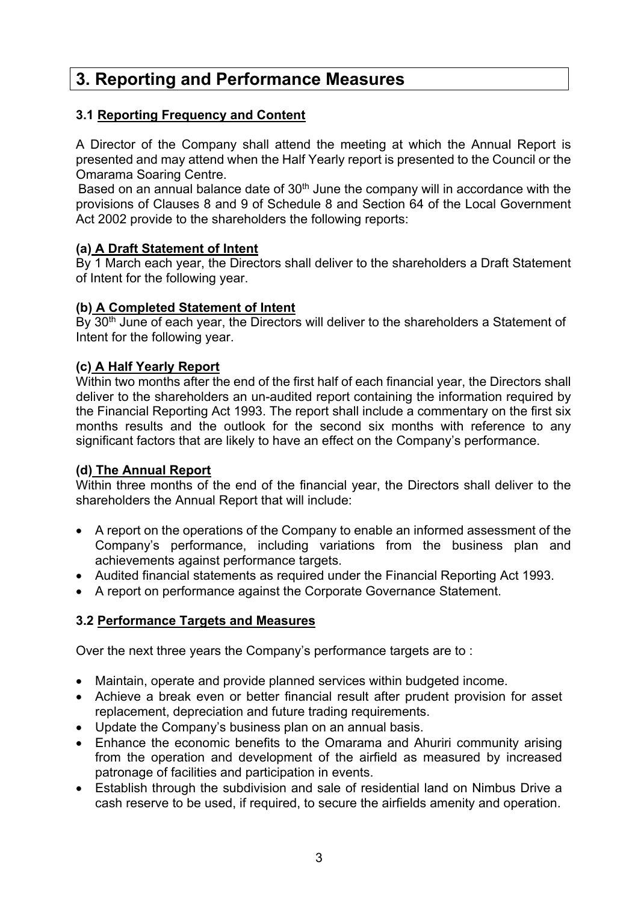# **3. Reporting and Performance Measures**

### **3.1 Reporting Frequency and Content**

A Director of the Company shall attend the meeting at which the Annual Report is presented and may attend when the Half Yearly report is presented to the Council or the Omarama Soaring Centre.

Based on an annual balance date of  $30<sup>th</sup>$  June the company will in accordance with the provisions of Clauses 8 and 9 of Schedule 8 and Section 64 of the Local Government Act 2002 provide to the shareholders the following reports:

### **(a) A Draft Statement of Intent**

By 1 March each year, the Directors shall deliver to the shareholders a Draft Statement of Intent for the following year.

#### **(b) A Completed Statement of Intent**

By 30<sup>th</sup> June of each year, the Directors will deliver to the shareholders a Statement of Intent for the following year.

### **(c) A Half Yearly Report**

Within two months after the end of the first half of each financial year, the Directors shall deliver to the shareholders an un-audited report containing the information required by the Financial Reporting Act 1993. The report shall include a commentary on the first six months results and the outlook for the second six months with reference to any significant factors that are likely to have an effect on the Company's performance.

#### **(d) The Annual Report**

Within three months of the end of the financial year, the Directors shall deliver to the shareholders the Annual Report that will include:

- A report on the operations of the Company to enable an informed assessment of the Company's performance, including variations from the business plan and achievements against performance targets.
- Audited financial statements as required under the Financial Reporting Act 1993.
- A report on performance against the Corporate Governance Statement.

## **3.2 Performance Targets and Measures**

Over the next three years the Company's performance targets are to :

- Maintain, operate and provide planned services within budgeted income.
- Achieve a break even or better financial result after prudent provision for asset replacement, depreciation and future trading requirements.
- Update the Company's business plan on an annual basis.
- Enhance the economic benefits to the Omarama and Ahuriri community arising from the operation and development of the airfield as measured by increased patronage of facilities and participation in events.
- Establish through the subdivision and sale of residential land on Nimbus Drive a cash reserve to be used, if required, to secure the airfields amenity and operation.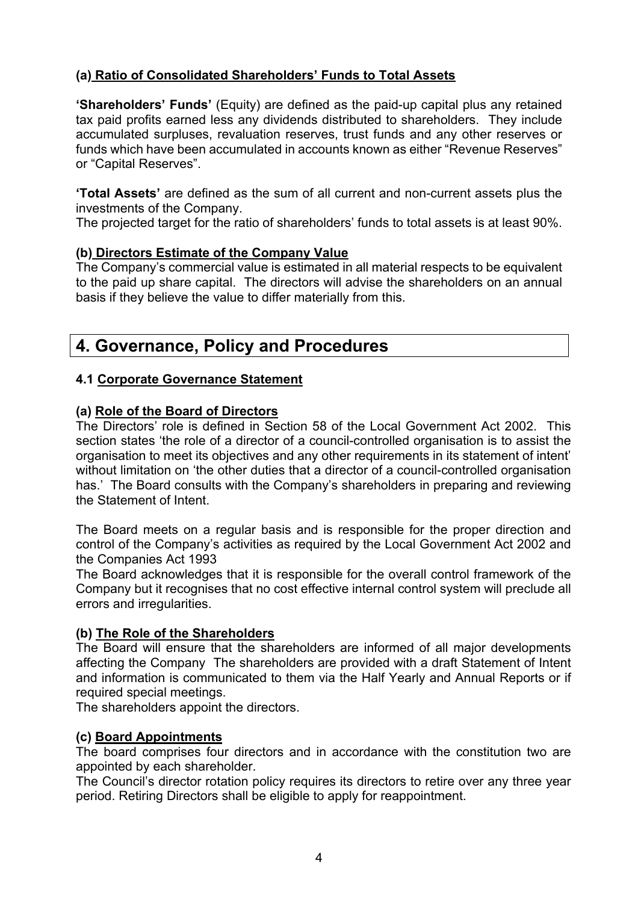# **(a) Ratio of Consolidated Shareholders' Funds to Total Assets**

**'Shareholders' Funds'** (Equity) are defined as the paid-up capital plus any retained tax paid profits earned less any dividends distributed to shareholders. They include accumulated surpluses, revaluation reserves, trust funds and any other reserves or funds which have been accumulated in accounts known as either "Revenue Reserves" or "Capital Reserves".

**'Total Assets'** are defined as the sum of all current and non-current assets plus the investments of the Company.

The projected target for the ratio of shareholders' funds to total assets is at least 90%.

# **(b) Directors Estimate of the Company Value**

The Company's commercial value is estimated in all material respects to be equivalent to the paid up share capital. The directors will advise the shareholders on an annual basis if they believe the value to differ materially from this.

# **4. Governance, Policy and Procedures**

# **4.1 Corporate Governance Statement**

## **(a) Role of the Board of Directors**

The Directors' role is defined in Section 58 of the Local Government Act 2002. This section states 'the role of a director of a council-controlled organisation is to assist the organisation to meet its objectives and any other requirements in its statement of intent' without limitation on 'the other duties that a director of a council-controlled organisation has.' The Board consults with the Company's shareholders in preparing and reviewing the Statement of Intent.

The Board meets on a regular basis and is responsible for the proper direction and control of the Company's activities as required by the Local Government Act 2002 and the Companies Act 1993

The Board acknowledges that it is responsible for the overall control framework of the Company but it recognises that no cost effective internal control system will preclude all errors and irregularities.

## **(b) The Role of the Shareholders**

The Board will ensure that the shareholders are informed of all major developments affecting the Company The shareholders are provided with a draft Statement of Intent and information is communicated to them via the Half Yearly and Annual Reports or if required special meetings.

The shareholders appoint the directors.

## **(c) Board Appointments**

The board comprises four directors and in accordance with the constitution two are appointed by each shareholder.

The Council's director rotation policy requires its directors to retire over any three year period. Retiring Directors shall be eligible to apply for reappointment.